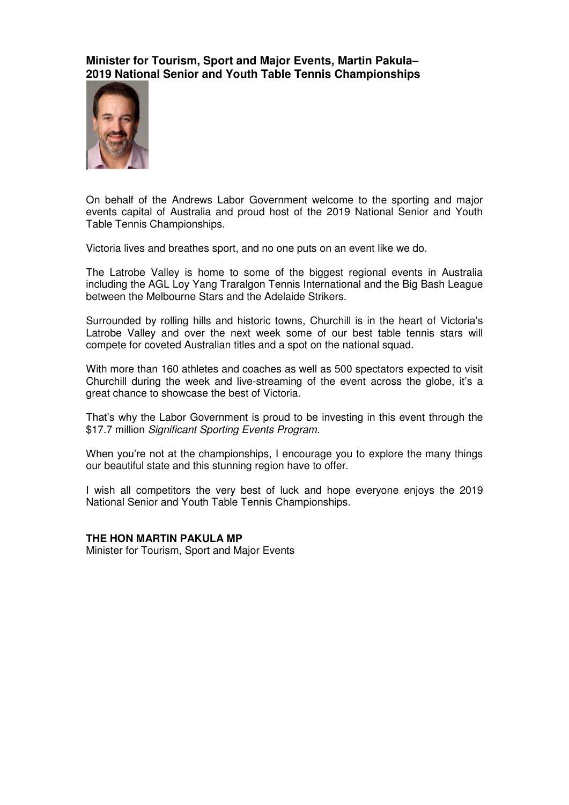**Minister for Tourism, Sport and Major Events, Martin Pakula– 2019 National Senior and Youth Table Tennis Championships** 



On behalf of the Andrews Labor Government welcome to the sporting and major events capital of Australia and proud host of the 2019 National Senior and Youth Table Tennis Championships.

Victoria lives and breathes sport, and no one puts on an event like we do.

The Latrobe Valley is home to some of the biggest regional events in Australia including the AGL Loy Yang Traralgon Tennis International and the Big Bash League between the Melbourne Stars and the Adelaide Strikers.

Surrounded by rolling hills and historic towns, Churchill is in the heart of Victoria's Latrobe Valley and over the next week some of our best table tennis stars will compete for coveted Australian titles and a spot on the national squad.

With more than 160 athletes and coaches as well as 500 spectators expected to visit Churchill during the week and live-streaming of the event across the globe, it's a great chance to showcase the best of Victoria.

That's why the Labor Government is proud to be investing in this event through the \$17.7 million *Significant Sporting Events Program.*

When you're not at the championships, I encourage you to explore the many things our beautiful state and this stunning region have to offer.

I wish all competitors the very best of luck and hope everyone enjoys the 2019 National Senior and Youth Table Tennis Championships.

## **THE HON MARTIN PAKULA MP**

Minister for Tourism, Sport and Major Events